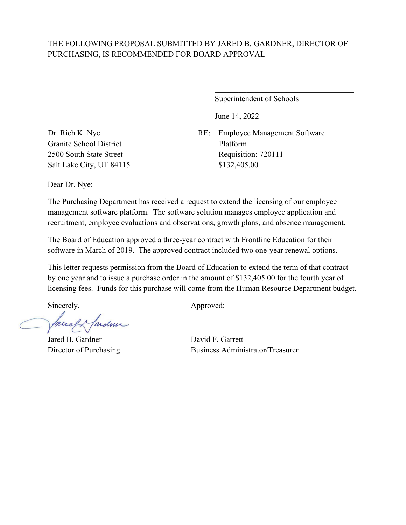Superintendent of Schools

 $\mathcal{L}_\mathcal{L}$  , where  $\mathcal{L}_\mathcal{L}$  , we are the set of the set of the set of the set of the set of the set of the set of the set of the set of the set of the set of the set of the set of the set of the set of the set o

June 14, 2022

RE: Employee Management Software Platform Requisition: 720111 \$132,405.00

Dr. Rich K. Nye Granite School District 2500 South State Street Salt Lake City, UT 84115

Dear Dr. Nye:

The Purchasing Department has received a request to extend the licensing of our employee management software platform. The software solution manages employee application and recruitment, employee evaluations and observations, growth plans, and absence management.

The Board of Education approved a three-year contract with Frontline Education for their software in March of 2019. The approved contract included two one-year renewal options.

This letter requests permission from the Board of Education to extend the term of that contract by one year and to issue a purchase order in the amount of \$132,405.00 for the fourth year of licensing fees. Funds for this purchase will come from the Human Resource Department budget.

facely farder

Jared B. Gardner David F. Garrett

Sincerely,  $\qquad \qquad \text{Approved:}$ 

Director of Purchasing Business Administrator/Treasurer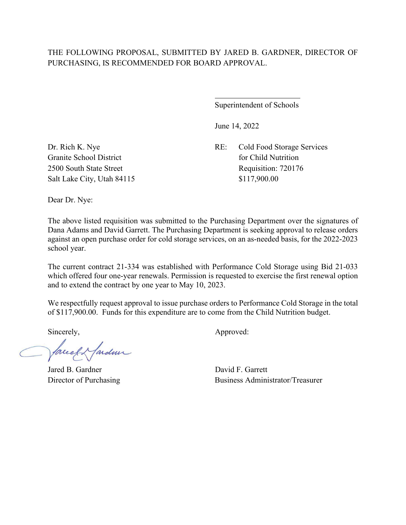$\overline{a}$ 

Superintendent of Schools

June 14, 2022

Dr. Rich K. Nye RE: Cold Food Storage Services Granite School District for Child Nutrition 2500 South State Street Requisition: 720176

Salt Lake City, Utah 84115 \$117,900.00

Dear Dr. Nye:

The above listed requisition was submitted to the Purchasing Department over the signatures of Dana Adams and David Garrett. The Purchasing Department is seeking approval to release orders against an open purchase order for cold storage services, on an as-needed basis, for the 2022-2023 school year.

The current contract 21-334 was established with Performance Cold Storage using Bid 21-033 which offered four one-year renewals. Permission is requested to exercise the first renewal option and to extend the contract by one year to May 10, 2023.

We respectfully request approval to issue purchase orders to Performance Cold Storage in the total of \$117,900.00. Funds for this expenditure are to come from the Child Nutrition budget.

facely farden

Jared B. Gardner David F. Garrett

Director of Purchasing Business Administrator/Treasurer

Sincerely,  $\qquad \qquad \text{Approved:}$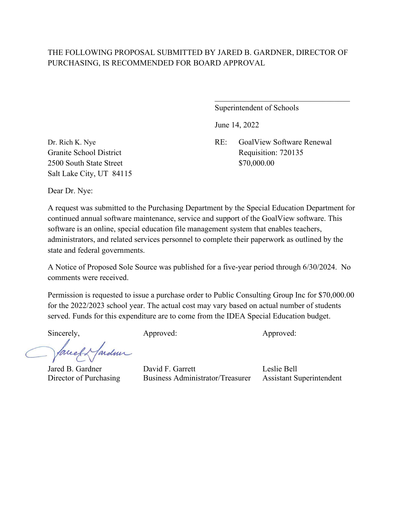Superintendent of Schools

June 14, 2022

Dr. Rich K. Nye RE: GoalView Software Renewal Granite School District **Requisition: 720135** 

 $\mathcal{L}_\mathcal{L}$  , which is a set of the set of the set of the set of the set of the set of the set of the set of the set of the set of the set of the set of the set of the set of the set of the set of the set of the set of

2500 South State Street \$70,000.00 Salt Lake City, UT 84115

Dear Dr. Nye:

A request was submitted to the Purchasing Department by the Special Education Department for continued annual software maintenance, service and support of the GoalView software. This software is an online, special education file management system that enables teachers, administrators, and related services personnel to complete their paperwork as outlined by the state and federal governments.

A Notice of Proposed Sole Source was published for a five-year period through 6/30/2024. No comments were received.

Permission is requested to issue a purchase order to Public Consulting Group Inc for \$70,000.00 for the 2022/2023 school year. The actual cost may vary based on actual number of students served. Funds for this expenditure are to come from the IDEA Special Education budget.

ardmi Tarce

Sincerely, Approved: Approved: Approved: Approved:

Jared B. Gardner David F. Garrett Leslie Bell Director of Purchasing Business Administrator/Treasurer Assistant Superintendent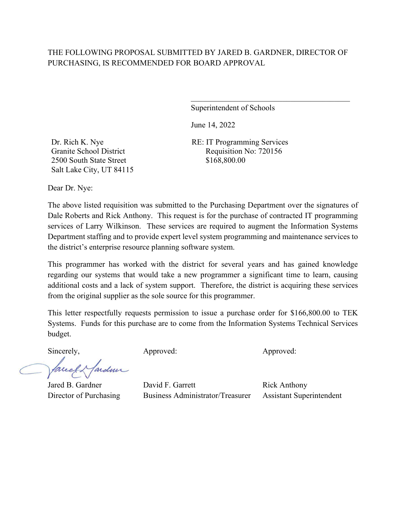Superintendent of Schools

 $\mathcal{L}_\mathcal{L}$  , which is a set of the set of the set of the set of the set of the set of the set of the set of the set of the set of the set of the set of the set of the set of the set of the set of the set of the set of

June 14, 2022

RE: IT Programming Services Requisition No: 720156 \$168,800.00

Dr. Rich K. Nye Granite School District 2500 South State Street Salt Lake City, UT 84115

Dear Dr. Nye:

The above listed requisition was submitted to the Purchasing Department over the signatures of Dale Roberts and Rick Anthony. This request is for the purchase of contracted IT programming services of Larry Wilkinson. These services are required to augment the Information Systems Department staffing and to provide expert level system programming and maintenance services to the district's enterprise resource planning software system.

This programmer has worked with the district for several years and has gained knowledge regarding our systems that would take a new programmer a significant time to learn, causing additional costs and a lack of system support. Therefore, the district is acquiring these services from the original supplier as the sole source for this programmer.

This letter respectfully requests permission to issue a purchase order for \$166,800.00 to TEK Systems. Funds for this purchase are to come from the Information Systems Technical Services budget.

ardmir fareel

Sincerely, Approved: Approved: Approved: Approved:

Jared B. Gardner David F. Garrett Rick Anthony Director of Purchasing Business Administrator/Treasurer Assistant Superintendent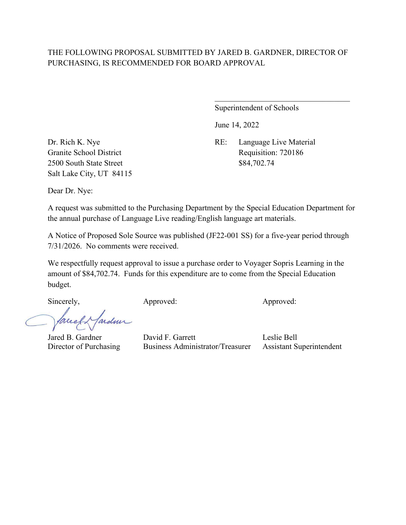Superintendent of Schools

 $\mathcal{L}_\mathcal{L}$  , which is a set of the set of the set of the set of the set of the set of the set of the set of the set of the set of the set of the set of the set of the set of the set of the set of the set of the set of

June 14, 2022

2500 South State Street \$84,702.74 Salt Lake City, UT 84115

Dr. Rich K. Nye RE: Language Live Material Granite School District Requisition: 720186

Dear Dr. Nye:

A request was submitted to the Purchasing Department by the Special Education Department for the annual purchase of Language Live reading/English language art materials.

A Notice of Proposed Sole Source was published (JF22-001 SS) for a five-year period through 7/31/2026. No comments were received.

We respectfully request approval to issue a purchase order to Voyager Sopris Learning in the amount of \$84,702.74. Funds for this expenditure are to come from the Special Education budget.

fardner Tareel

Sincerely, Approved: Approved: Approved: Approved:

Jared B. Gardner David F. Garrett Leslie Bell Director of Purchasing Business Administrator/Treasurer Assistant Superintendent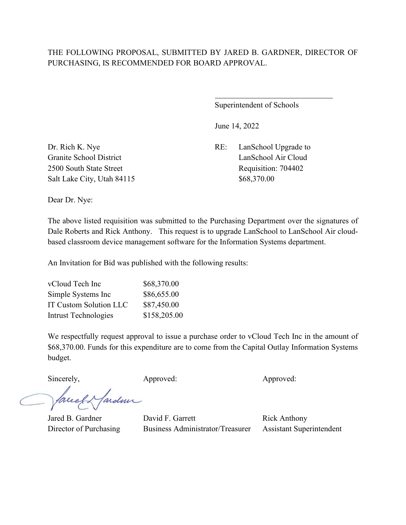$\overline{a}$ 

Superintendent of Schools

June 14, 2022

Salt Lake City, Utah 84115 \$68,370.00

Dr. Rich K. Nye RE: LanSchool Upgrade to Granite School District **LanSchool Air Cloud** 2500 South State Street Requisition: 704402

Dear Dr. Nye:

The above listed requisition was submitted to the Purchasing Department over the signatures of Dale Roberts and Rick Anthony. This request is to upgrade LanSchool to LanSchool Air cloudbased classroom device management software for the Information Systems department.

An Invitation for Bid was published with the following results:

| vCloud Tech Inc               | \$68,370.00  |
|-------------------------------|--------------|
| Simple Systems Inc            | \$86,655.00  |
| <b>IT Custom Solution LLC</b> | \$87,450.00  |
| Intrust Technologies          | \$158,205.00 |

We respectfully request approval to issue a purchase order to vCloud Tech Inc in the amount of \$68,370.00. Funds for this expenditure are to come from the Capital Outlay Information Systems budget.

Sincerely, Approved: Approved: Approved: Approved:

facely farden

Jared B. Gardner David F. Garrett Rick Anthony Director of Purchasing Business Administrator/Treasurer Assistant Superintendent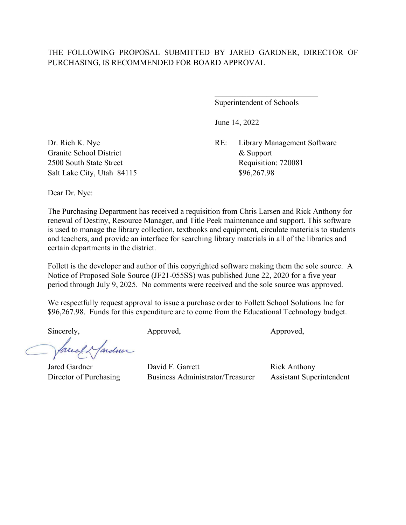Superintendent of Schools

June 14, 2022

Dr. Rich K. Nye RE: Library Management Software 2500 South State Street Requisition: 720081

Granite School District  $\&$  Support Salt Lake City, Utah 84115 \$96,267.98

Dear Dr. Nye:

The Purchasing Department has received a requisition from Chris Larsen and Rick Anthony for renewal of Destiny, Resource Manager, and Title Peek maintenance and support. This software is used to manage the library collection, textbooks and equipment, circulate materials to students and teachers, and provide an interface for searching library materials in all of the libraries and certain departments in the district.

Follett is the developer and author of this copyrighted software making them the sole source. A Notice of Proposed Sole Source (JF21-055SS) was published June 22, 2020 for a five year period through July 9, 2025. No comments were received and the sole source was approved.

We respectfully request approval to issue a purchase order to Follett School Solutions Inc for \$96,267.98. Funds for this expenditure are to come from the Educational Technology budget.

Sincerely, Approved, Approved, Approved, Approved,

lardme

Jared Gardner **David F. Garrett** Rick Anthony Director of Purchasing Business Administrator/Treasurer Assistant Superintendent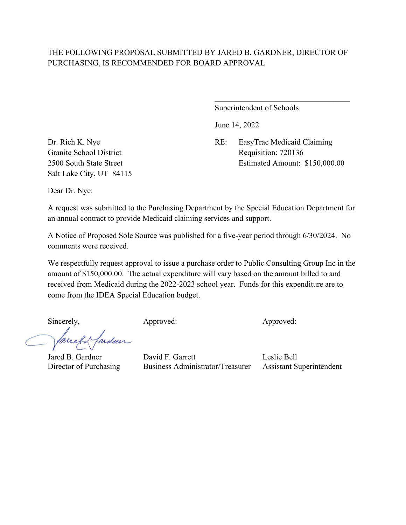Superintendent of Schools

June 14, 2022

Dr. Rich K. Nye RE: EasyTrac Medicaid Claiming Granite School District Requisition: 720136 2500 South State Street Estimated Amount: \$150,000.00

 $\mathcal{L}_\mathcal{L}$  , which is a set of the set of the set of the set of the set of the set of the set of the set of the set of the set of the set of the set of the set of the set of the set of the set of the set of the set of

Salt Lake City, UT 84115

Dear Dr. Nye:

A request was submitted to the Purchasing Department by the Special Education Department for an annual contract to provide Medicaid claiming services and support.

A Notice of Proposed Sole Source was published for a five-year period through 6/30/2024. No comments were received.

We respectfully request approval to issue a purchase order to Public Consulting Group Inc in the amount of \$150,000.00. The actual expenditure will vary based on the amount billed to and received from Medicaid during the 2022-2023 school year. Funds for this expenditure are to come from the IDEA Special Education budget.

ardmi lareel.

Sincerely, Approved: Approved: Approved: Approved:

Jared B. Gardner David F. Garrett Leslie Bell Director of Purchasing Business Administrator/Treasurer Assistant Superintendent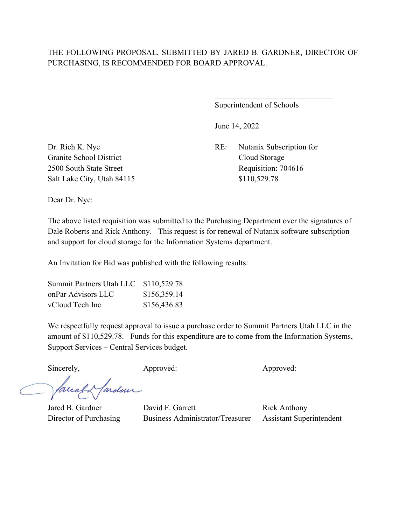$\overline{a}$ 

Superintendent of Schools

June 14, 2022

Dr. Rich K. Nye RE: Nutanix Subscription for 2500 South State Street Requisition: 704616

Granite School District Cloud Storage Salt Lake City, Utah 84115 \$110,529.78

Dear Dr. Nye:

The above listed requisition was submitted to the Purchasing Department over the signatures of Dale Roberts and Rick Anthony. This request is for renewal of Nutanix software subscription and support for cloud storage for the Information Systems department.

An Invitation for Bid was published with the following results:

| Summit Partners Utah LLC \$110,529.78 |              |
|---------------------------------------|--------------|
| onPar Advisors LLC                    | \$156,359.14 |
| vCloud Tech Inc                       | \$156,436.83 |

We respectfully request approval to issue a purchase order to Summit Partners Utah LLC in the amount of \$110,529.78. Funds for this expenditure are to come from the Information Systems, Support Services – Central Services budget.

Sincerely, Approved: Approved: Approved: Approved:

facely farden

Jared B. Gardner David F. Garrett Rick Anthony Director of Purchasing Business Administrator/Treasurer Assistant Superintendent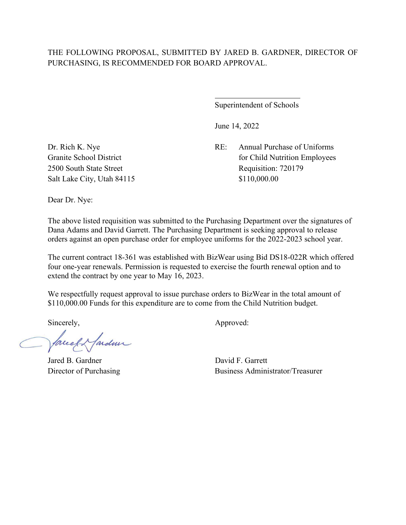$\overline{a}$ 

Superintendent of Schools

June 14, 2022

Dr. Rich K. Nye RE: Annual Purchase of Uniforms Granite School District for Child Nutrition Employees 2500 South State Street Requisition: 720179

Salt Lake City, Utah 84115 \$110,000.00

Dear Dr. Nye:

The above listed requisition was submitted to the Purchasing Department over the signatures of Dana Adams and David Garrett. The Purchasing Department is seeking approval to release orders against an open purchase order for employee uniforms for the 2022-2023 school year.

The current contract 18-361 was established with BizWear using Bid DS18-022R which offered four one-year renewals. Permission is requested to exercise the fourth renewal option and to extend the contract by one year to May 16, 2023.

We respectfully request approval to issue purchase orders to BizWear in the total amount of \$110,000.00 Funds for this expenditure are to come from the Child Nutrition budget.

facely farden

Jared B. Gardner David F. Garrett

Sincerely,  $\qquad \qquad \text{Approved:}$ 

Director of Purchasing Business Administrator/Treasurer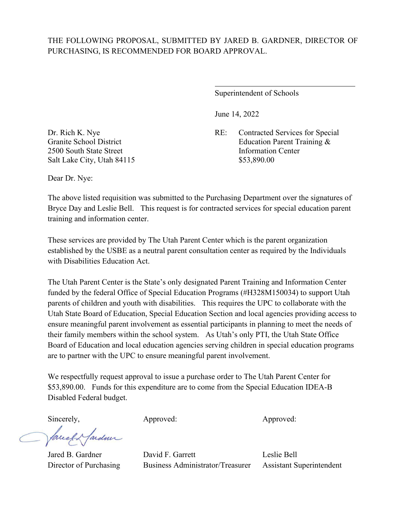$\overline{a}$ 

Superintendent of Schools

June 14, 2022

Dr. Rich K. Nye RE: Contracted Services for Special Granite School District **Education Parent Training &** 

2500 South State Street Information Center Salt Lake City, Utah 84115 \$53,890.00

Dear Dr. Nye:

The above listed requisition was submitted to the Purchasing Department over the signatures of Bryce Day and Leslie Bell. This request is for contracted services for special education parent training and information center.

These services are provided by The Utah Parent Center which is the parent organization established by the USBE as a neutral parent consultation center as required by the Individuals with Disabilities Education Act.

The Utah Parent Center is the State's only designated Parent Training and Information Center funded by the federal Office of Special Education Programs (#H328M150034) to support Utah parents of children and youth with disabilities. This requires the UPC to collaborate with the Utah State Board of Education, Special Education Section and local agencies providing access to ensure meaningful parent involvement as essential participants in planning to meet the needs of their family members within the school system. As Utah's only PTI, the Utah State Office Board of Education and local education agencies serving children in special education programs are to partner with the UPC to ensure meaningful parent involvement.

We respectfully request approval to issue a purchase order to The Utah Parent Center for \$53,890.00. Funds for this expenditure are to come from the Special Education IDEA-B Disabled Federal budget.

Sincerely, Approved: Approved: Approved: Approved:

lardner facel

Jared B. Gardner David F. Garrett Leslie Bell Director of Purchasing Business Administrator/Treasurer Assistant Superintendent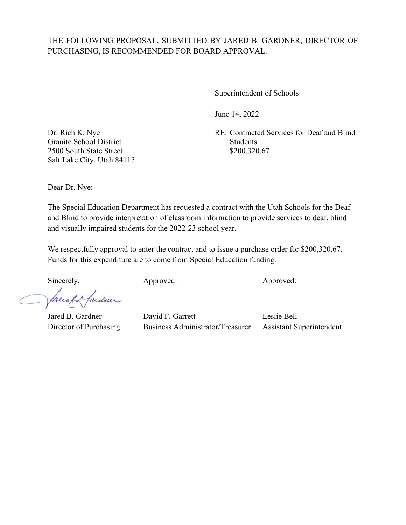$\overline{a}$ 

Superintendent of Schools

June 14, 2022

Dr. Rich K. Nye RE: Contracted Services for Deaf and Blind

Granite School District Students 2500 South State Street \$200,320.67 Salt Lake City, Utah 84115

Dear Dr. Nye:

The Special Education Department has requested a contract with the Utah Schools for the Deaf and Blind to provide interpretation of classroom information to provide services to deaf, blind and visually impaired students for the 2022-23 school year.

We respectfully approval to enter the contract and to issue a purchase order for \$200,320.67. Funds for this expenditure are to come from Special Education funding.

Sincerely, Approved: Approved: Approved: Approved:

fardun Jacel

Jared B. Gardner David F. Garrett Leslie Bell Director of Purchasing Business Administrator/Treasurer Assistant Superintendent